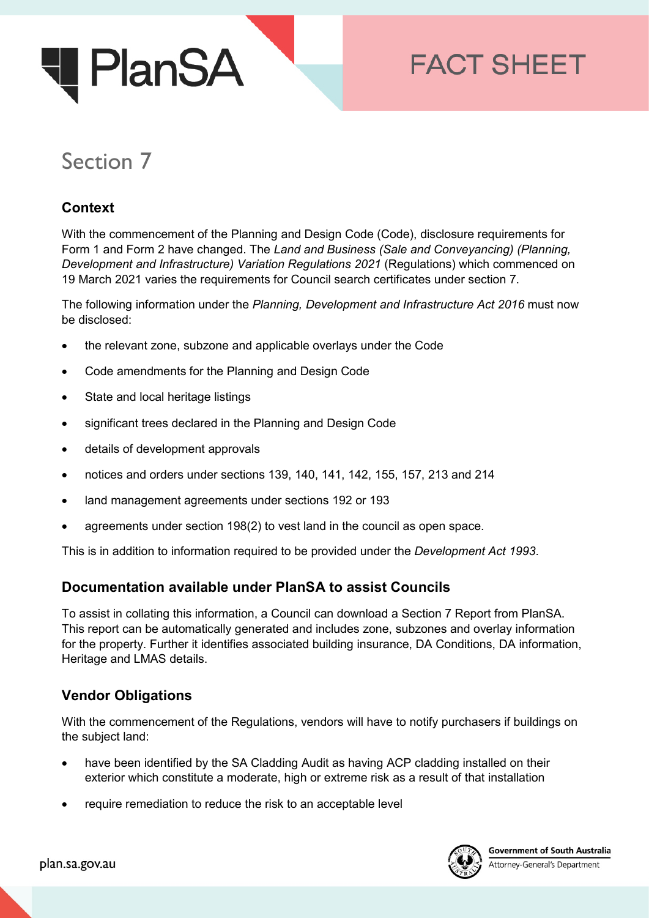

# **FACT SHEET**

# Section 7

## **Context**

With the commencement of the Planning and Design Code (Code), disclosure requirements for Form 1 and Form 2 have changed. The *Land and Business (Sale and Conveyancing) (Planning, Development and Infrastructure) Variation Regulations 2021* (Regulations) which commenced on 19 March 2021 varies the requirements for Council search certificates under section 7.

The following information under the *Planning, Development and Infrastructure Act 2016* must now be disclosed:

- the relevant zone, subzone and applicable overlays under the Code
- Code amendments for the Planning and Design Code
- State and local heritage listings
- significant trees declared in the Planning and Design Code
- details of development approvals
- notices and orders under sections 139, 140, 141, 142, 155, 157, 213 and 214
- land management agreements under sections 192 or 193
- agreements under section 198(2) to vest land in the council as open space.

This is in addition to information required to be provided under the *Development Act 1993*.

#### **Documentation available under PlanSA to assist Councils**

To assist in collating this information, a Council can download a Section 7 Report from PlanSA. This report can be automatically generated and includes zone, subzones and overlay information for the property. Further it identifies associated building insurance, DA Conditions, DA information, Heritage and LMAS details.

### **Vendor Obligations**

With the commencement of the Regulations, vendors will have to notify purchasers if buildings on the subject land:

- have been identified by the SA Cladding Audit as having ACP cladding installed on their exterior which constitute a moderate, high or extreme risk as a result of that installation
- require remediation to reduce the risk to an acceptable level